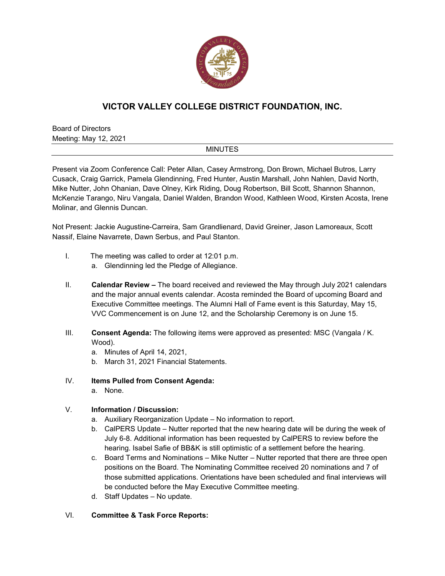

# **VICTOR VALLEY COLLEGE DISTRICT FOUNDATION, INC.**

Board of Directors Meeting: May 12, 2021

### MINUTES

Present via Zoom Conference Call: Peter Allan, Casey Armstrong, Don Brown, Michael Butros, Larry Cusack, Craig Garrick, Pamela Glendinning, Fred Hunter, Austin Marshall, John Nahlen, David North, Mike Nutter, John Ohanian, Dave Olney, Kirk Riding, Doug Robertson, Bill Scott, Shannon Shannon, McKenzie Tarango, Niru Vangala, Daniel Walden, Brandon Wood, Kathleen Wood, Kirsten Acosta, Irene Molinar, and Glennis Duncan.

Not Present: Jackie Augustine-Carreira, Sam Grandlienard, David Greiner, Jason Lamoreaux, Scott Nassif, Elaine Navarrete, Dawn Serbus, and Paul Stanton.

- I. The meeting was called to order at 12:01 p.m.
	- a. Glendinning led the Pledge of Allegiance.
- II. **Calendar Review –** The board received and reviewed the May through July 2021 calendars and the major annual events calendar. Acosta reminded the Board of upcoming Board and Executive Committee meetings. The Alumni Hall of Fame event is this Saturday, May 15, VVC Commencement is on June 12, and the Scholarship Ceremony is on June 15.
- III. **Consent Agenda:** The following items were approved as presented: MSC (Vangala / K. Wood).
	- a. Minutes of April 14, 2021,
	- b. March 31, 2021 Financial Statements.

## IV. **Items Pulled from Consent Agenda:**

a. None.

# V. **Information / Discussion:**

- a. Auxiliary Reorganization Update No information to report.
- b. CalPERS Update Nutter reported that the new hearing date will be during the week of July 6-8. Additional information has been requested by CalPERS to review before the hearing. Isabel Safie of BB&K is still optimistic of a settlement before the hearing.
- c. Board Terms and Nominations Mike Nutter Nutter reported that there are three open positions on the Board. The Nominating Committee received 20 nominations and 7 of those submitted applications. Orientations have been scheduled and final interviews will be conducted before the May Executive Committee meeting.
- d. Staff Updates No update.

### VI. **Committee & Task Force Reports:**